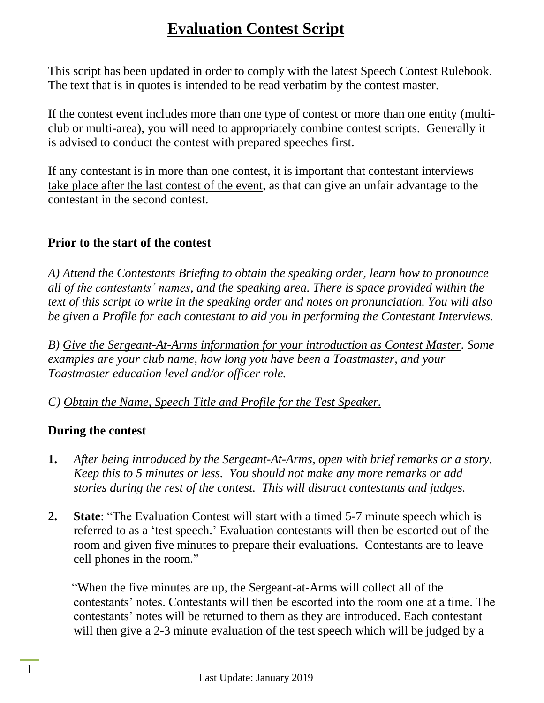This script has been updated in order to comply with the latest Speech Contest Rulebook. The text that is in quotes is intended to be read verbatim by the contest master.

If the contest event includes more than one type of contest or more than one entity (multiclub or multi-area), you will need to appropriately combine contest scripts. Generally it is advised to conduct the contest with prepared speeches first.

If any contestant is in more than one contest, it is important that contestant interviews take place after the last contest of the event, as that can give an unfair advantage to the contestant in the second contest.

### **Prior to the start of the contest**

*A) Attend the Contestants Briefing to obtain the speaking order, learn how to pronounce all of the contestants' names, and the speaking area. There is space provided within the text of this script to write in the speaking order and notes on pronunciation. You will also be given a Profile for each contestant to aid you in performing the Contestant Interviews.*

*B) Give the Sergeant-At-Arms information for your introduction as Contest Master. Some examples are your club name, how long you have been a Toastmaster, and your Toastmaster education level and/or officer role.*

*C) Obtain the Name, Speech Title and Profile for the Test Speaker.*

### **During the contest**

- **1.** *After being introduced by the Sergeant-At-Arms, open with brief remarks or a story. Keep this to 5 minutes or less. You should not make any more remarks or add stories during the rest of the contest. This will distract contestants and judges.*
- **2. State**: "The Evaluation Contest will start with a timed 5-7 minute speech which is referred to as a 'test speech.' Evaluation contestants will then be escorted out of the room and given five minutes to prepare their evaluations. Contestants are to leave cell phones in the room."

"When the five minutes are up, the Sergeant-at-Arms will collect all of the contestants' notes. Contestants will then be escorted into the room one at a time. The contestants' notes will be returned to them as they are introduced. Each contestant will then give a 2-3 minute evaluation of the test speech which will be judged by a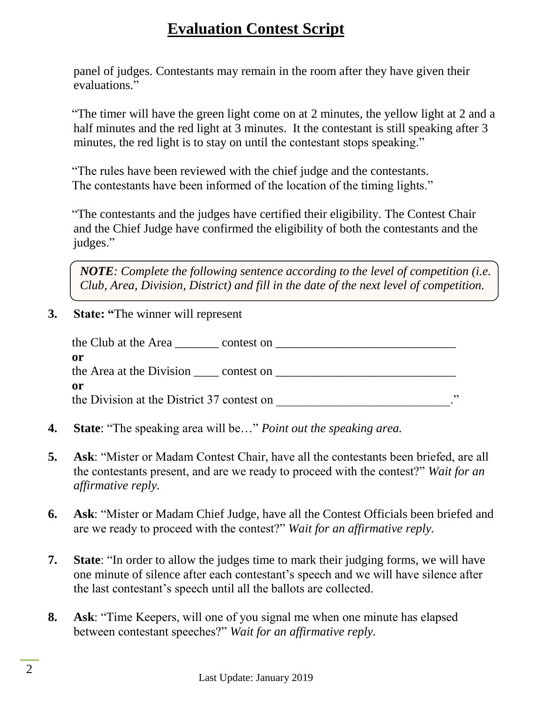panel of judges. Contestants may remain in the room after they have given their evaluations."

"The timer will have the green light come on at 2 minutes, the yellow light at 2 and a half minutes and the red light at 3 minutes. It the contestant is still speaking after 3 minutes, the red light is to stay on until the contestant stops speaking."

"The rules have been reviewed with the chief judge and the contestants. The contestants have been informed of the location of the timing lights."

"The contestants and the judges have certified their eligibility. The Contest Chair and the Chief Judge have confirmed the eligibility of both the contestants and the judges."

*NOTE: Complete the following sentence according to the level of competition (i.e. Club, Area, Division, District) and fill in the date of the next level of competition.*

**3. State: "**The winner will represent

| the Club at the Area _<br>contest on       |    |
|--------------------------------------------|----|
| or                                         |    |
| the Area at the Division contest on        |    |
| or                                         |    |
| the Division at the District 37 contest on | ,, |
|                                            |    |

- **4. State**: "The speaking area will be…" *Point out the speaking area.*
- **5. Ask**: "Mister or Madam Contest Chair, have all the contestants been briefed, are all the contestants present, and are we ready to proceed with the contest?" *Wait for an affirmative reply.*
- **6. Ask**: "Mister or Madam Chief Judge, have all the Contest Officials been briefed and are we ready to proceed with the contest?" *Wait for an affirmative reply.*
- **7. State**: "In order to allow the judges time to mark their judging forms, we will have one minute of silence after each contestant's speech and we will have silence after the last contestant's speech until all the ballots are collected.
- **8. Ask**: "Time Keepers, will one of you signal me when one minute has elapsed between contestant speeches?" *Wait for an affirmative reply.*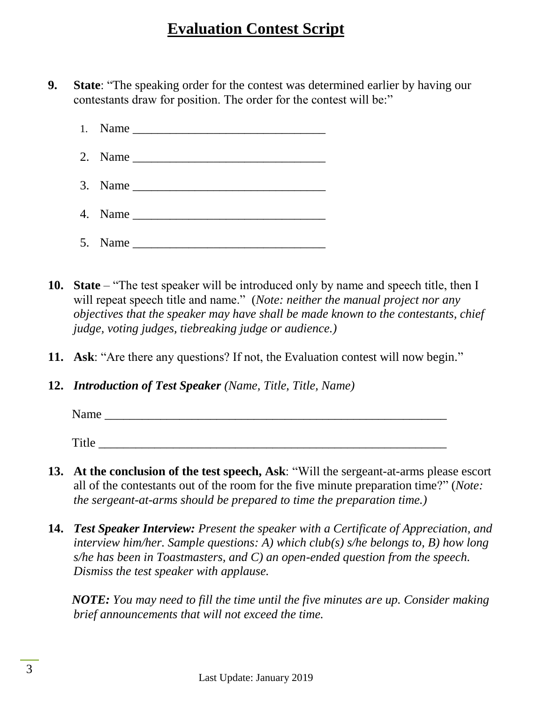- **9. State**: "The speaking order for the contest was determined earlier by having our contestants draw for position. The order for the contest will be:"
	- $1.$  Name
	- 2. Name \_\_\_\_\_\_\_\_\_\_\_\_\_\_\_\_\_\_\_\_\_\_\_\_\_\_\_\_\_\_\_
	- $3.$  Name  $\Box$
	- 4. Name \_\_\_\_\_\_\_\_\_\_\_\_\_\_\_\_\_\_\_\_\_\_\_\_\_\_\_\_\_\_\_
	- 5. Name \_\_\_\_\_\_\_\_\_\_\_\_\_\_\_\_\_\_\_\_\_\_\_\_\_\_\_\_\_\_\_
- **10. State** "The test speaker will be introduced only by name and speech title, then I will repeat speech title and name." (*Note: neither the manual project nor any objectives that the speaker may have shall be made known to the contestants, chief judge, voting judges, tiebreaking judge or audience.)*
- **11. Ask**: "Are there any questions? If not, the Evaluation contest will now begin."
- **12.** *Introduction of Test Speaker (Name, Title, Title, Name)*

Name

Title  $\Box$ 

- **13. At the conclusion of the test speech, Ask**: "Will the sergeant-at-arms please escort all of the contestants out of the room for the five minute preparation time?" (*Note: the sergeant-at-arms should be prepared to time the preparation time.)*
- **14.** *Test Speaker Interview: Present the speaker with a Certificate of Appreciation, and interview him/her. Sample questions: A) which club(s) s/he belongs to, B) how long s/he has been in Toastmasters, and C) an open-ended question from the speech. Dismiss the test speaker with applause.*

*NOTE: You may need to fill the time until the five minutes are up. Consider making brief announcements that will not exceed the time.*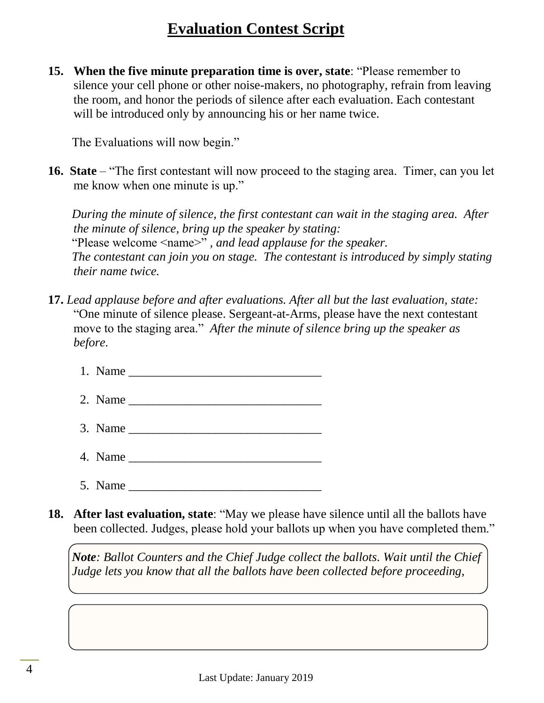**15. When the five minute preparation time is over, state**: "Please remember to silence your cell phone or other noise-makers, no photography, refrain from leaving the room, and honor the periods of silence after each evaluation. Each contestant will be introduced only by announcing his or her name twice.

The Evaluations will now begin."

**16. State** – "The first contestant will now proceed to the staging area. Timer, can you let me know when one minute is up."

*During the minute of silence, the first contestant can wait in the staging area. After the minute of silence, bring up the speaker by stating:* "Please welcome <name>" *, and lead applause for the speaker. The contestant can join you on stage. The contestant is introduced by simply stating their name twice.*

- **17.** *Lead applause before and after evaluations. After all but the last evaluation, state:*  "One minute of silence please. Sergeant-at-Arms, please have the next contestant move to the staging area." *After the minute of silence bring up the speaker as before.*
	- 1. Name \_\_\_\_\_\_\_\_\_\_\_\_\_\_\_\_\_\_\_\_\_\_\_\_\_\_\_\_\_\_\_
	- $2.$  Name
	- 3. Name \_\_\_\_\_\_\_\_\_\_\_\_\_\_\_\_\_\_\_\_\_\_\_\_\_\_\_\_\_\_\_
	- 4. Name \_\_\_\_\_\_\_\_\_\_\_\_\_\_\_\_\_\_\_\_\_\_\_\_\_\_\_\_\_\_\_
	- $5.$  Name

**18. After last evaluation, state**: "May we please have silence until all the ballots have been collected. Judges, please hold your ballots up when you have completed them."

*Note: Ballot Counters and the Chief Judge collect the ballots. Wait until the Chief Judge lets you know that all the ballots have been collected before proceeding,*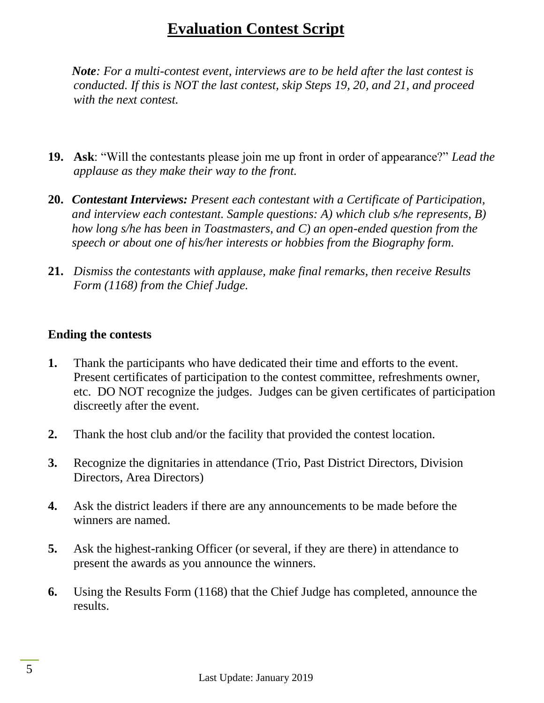*Note: For a multi-contest event, interviews are to be held after the last contest is conducted. If this is NOT the last contest, skip Steps 19, 20, and 21, and proceed with the next contest.*

- **19. Ask**: "Will the contestants please join me up front in order of appearance?" *Lead the applause as they make their way to the front.*
- **20.** *Contestant Interviews: Present each contestant with a Certificate of Participation, and interview each contestant. Sample questions: A) which club s/he represents, B) how long s/he has been in Toastmasters, and C) an open-ended question from the speech or about one of his/her interests or hobbies from the Biography form.*
- **21.** *Dismiss the contestants with applause, make final remarks, then receive Results Form (1168) from the Chief Judge.*

#### **Ending the contests**

- **1.** Thank the participants who have dedicated their time and efforts to the event. Present certificates of participation to the contest committee, refreshments owner, etc. DO NOT recognize the judges. Judges can be given certificates of participation discreetly after the event.
- **2.** Thank the host club and/or the facility that provided the contest location.
- **3.** Recognize the dignitaries in attendance (Trio, Past District Directors, Division Directors, Area Directors)
- **4.** Ask the district leaders if there are any announcements to be made before the winners are named.
- **5.** Ask the highest-ranking Officer (or several, if they are there) in attendance to present the awards as you announce the winners.
- **6.** Using the Results Form (1168) that the Chief Judge has completed, announce the results.